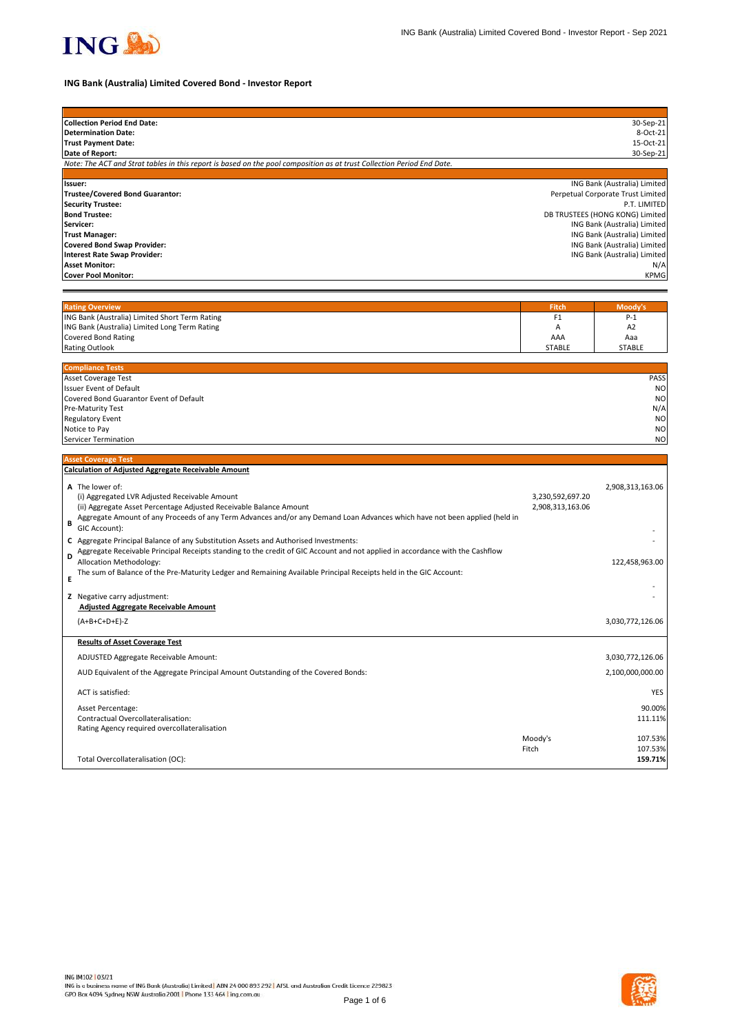

## **ING Bank (Australia) Limited Covered Bond - Investor Report**

| <b>Collection Period End Date:</b>                                                                                            |                  | 30-Sep-21                                                         |
|-------------------------------------------------------------------------------------------------------------------------------|------------------|-------------------------------------------------------------------|
| <b>Determination Date:</b>                                                                                                    |                  | 8-Oct-21                                                          |
| <b>Trust Payment Date:</b>                                                                                                    |                  | 15-Oct-21                                                         |
| Date of Report:                                                                                                               |                  | 30-Sep-21                                                         |
| Note: The ACT and Strat tables in this report is based on the pool composition as at trust Collection Period End Date.        |                  |                                                                   |
|                                                                                                                               |                  |                                                                   |
| Issuer:<br><b>Trustee/Covered Bond Guarantor:</b>                                                                             |                  | ING Bank (Australia) Limited<br>Perpetual Corporate Trust Limited |
| <b>Security Trustee:</b>                                                                                                      |                  | P.T. LIMITED                                                      |
| <b>Bond Trustee:</b>                                                                                                          |                  | DB TRUSTEES (HONG KONG) Limited                                   |
| Servicer:                                                                                                                     |                  | ING Bank (Australia) Limited                                      |
| <b>Trust Manager:</b>                                                                                                         |                  | ING Bank (Australia) Limited                                      |
| <b>Covered Bond Swap Provider:</b>                                                                                            |                  | ING Bank (Australia) Limited                                      |
| <b>Interest Rate Swap Provider:</b>                                                                                           |                  | ING Bank (Australia) Limited                                      |
| <b>Asset Monitor:</b>                                                                                                         |                  | N/A                                                               |
| <b>Cover Pool Monitor:</b>                                                                                                    |                  | <b>KPMG</b>                                                       |
|                                                                                                                               |                  |                                                                   |
|                                                                                                                               |                  |                                                                   |
| <b>Rating Overview</b>                                                                                                        | <b>Fitch</b>     | Moody's                                                           |
| ING Bank (Australia) Limited Short Term Rating                                                                                | F <sub>1</sub>   | $P-1$                                                             |
| ING Bank (Australia) Limited Long Term Rating                                                                                 | Α                | A <sub>2</sub>                                                    |
| <b>Covered Bond Rating</b>                                                                                                    | AAA              | Aaa                                                               |
| <b>Rating Outlook</b>                                                                                                         | STABLE           | <b>STABLE</b>                                                     |
| <b>Compliance Tests</b>                                                                                                       |                  |                                                                   |
| Asset Coverage Test                                                                                                           |                  | PASS                                                              |
| Issuer Event of Default                                                                                                       |                  | N <sub>O</sub>                                                    |
| Covered Bond Guarantor Event of Default                                                                                       |                  | N <sub>O</sub>                                                    |
| Pre-Maturity Test                                                                                                             |                  | N/A                                                               |
| <b>Regulatory Event</b>                                                                                                       |                  | N <sub>O</sub>                                                    |
| Notice to Pay                                                                                                                 |                  | N <sub>O</sub>                                                    |
| <b>Servicer Termination</b>                                                                                                   |                  | N <sub>O</sub>                                                    |
|                                                                                                                               |                  |                                                                   |
| <b>Asset Coverage Test</b>                                                                                                    |                  |                                                                   |
| <b>Calculation of Adjusted Aggregate Receivable Amount</b>                                                                    |                  |                                                                   |
| A The lower of:                                                                                                               |                  | 2,908,313,163.06                                                  |
| (i) Aggregated LVR Adjusted Receivable Amount                                                                                 | 3,230,592,697.20 |                                                                   |
| (ii) Aggregate Asset Percentage Adjusted Receivable Balance Amount                                                            | 2,908,313,163.06 |                                                                   |
| Aggregate Amount of any Proceeds of any Term Advances and/or any Demand Loan Advances which have not been applied (held in    |                  |                                                                   |
| B<br>GIC Account):                                                                                                            |                  |                                                                   |
| C Aggregate Principal Balance of any Substitution Assets and Authorised Investments:                                          |                  |                                                                   |
| Aggregate Receivable Principal Receipts standing to the credit of GIC Account and not applied in accordance with the Cashflow |                  |                                                                   |
| D<br>Allocation Methodology:                                                                                                  |                  | 122,458,963.00                                                    |
| The sum of Balance of the Pre-Maturity Ledger and Remaining Available Principal Receipts held in the GIC Account:             |                  |                                                                   |
| Е                                                                                                                             |                  |                                                                   |
| Z Negative carry adjustment:                                                                                                  |                  |                                                                   |
| <b>Adjusted Aggregate Receivable Amount</b>                                                                                   |                  |                                                                   |
|                                                                                                                               |                  |                                                                   |
| $(A+B+C+D+E)-Z$                                                                                                               |                  | 3,030,772,126.06                                                  |
| <b>Results of Asset Coverage Test</b>                                                                                         |                  |                                                                   |
| ADJUSTED Aggregate Receivable Amount:                                                                                         |                  | 3,030,772,126.06                                                  |
|                                                                                                                               |                  |                                                                   |
| AUD Equivalent of the Aggregate Principal Amount Outstanding of the Covered Bonds:                                            |                  | 2,100,000,000.00                                                  |
| ACT is satisfied:                                                                                                             |                  | <b>YES</b>                                                        |
| Asset Percentage:                                                                                                             |                  | 90.00%                                                            |
| Contractual Overcollateralisation:                                                                                            |                  | 111.11%                                                           |
| Rating Agency required overcollateralisation                                                                                  |                  |                                                                   |
|                                                                                                                               | Moody's          | 107.53%                                                           |
|                                                                                                                               | Fitch            | 107.53%                                                           |
| Total Overcollateralisation (OC):                                                                                             |                  | 159.71%                                                           |
|                                                                                                                               |                  |                                                                   |

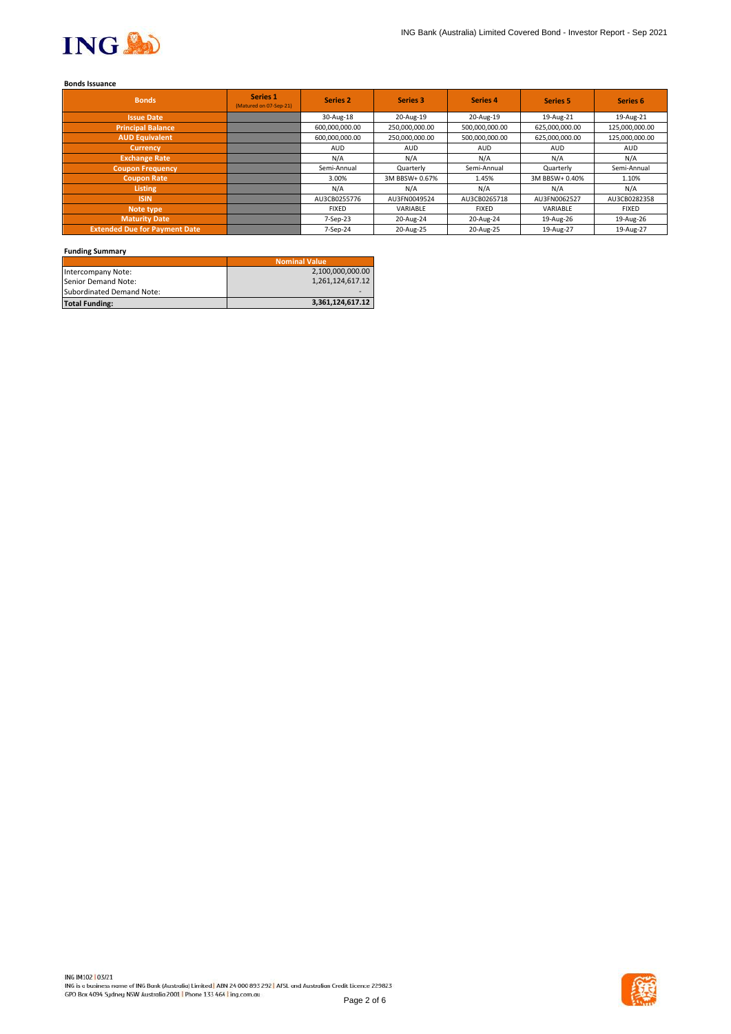

## **Bonds Issuance**

| <b>Bonds</b>                         | Series 1<br>(Matured on 07-Sep-21) | <b>Series 2</b> | <b>Series 3</b> | Series 4       | <b>Series 5</b> | Series <sub>6</sub> |
|--------------------------------------|------------------------------------|-----------------|-----------------|----------------|-----------------|---------------------|
| <b>Issue Date</b>                    |                                    | 30-Aug-18       | 20-Aug-19       | 20-Aug-19      | 19-Aug-21       | 19-Aug-21           |
| <b>Principal Balance</b>             |                                    | 600,000,000.00  | 250,000,000.00  | 500,000,000.00 | 625,000,000.00  | 125,000,000.00      |
| <b>AUD Equivalent</b>                |                                    | 600,000,000.00  | 250,000,000.00  | 500,000,000.00 | 625,000,000.00  | 125,000,000.00      |
| <b>Currency</b>                      |                                    | <b>AUD</b>      | <b>AUD</b>      | <b>AUD</b>     | <b>AUD</b>      | <b>AUD</b>          |
| <b>Exchange Rate</b>                 |                                    | N/A             | N/A             | N/A            | N/A             | N/A                 |
| <b>Coupon Frequency</b>              |                                    | Semi-Annual     | Quarterly       | Semi-Annual    | Quarterly       | Semi-Annual         |
| <b>Coupon Rate</b>                   |                                    | 3.00%           | 3M BBSW+ 0.67%  | 1.45%          | 3M BBSW+ 0.40%  | 1.10%               |
| Listing                              |                                    | N/A             | N/A             | N/A            | N/A             | N/A                 |
| <b>ISIN</b>                          |                                    | AU3CB0255776    | AU3FN0049524    | AU3CB0265718   | AU3FN0062527    | AU3CB0282358        |
| Note type                            |                                    | <b>FIXED</b>    | VARIABLE        | <b>FIXED</b>   | VARIABLE        | <b>FIXED</b>        |
| <b>Maturity Date</b>                 |                                    | 7-Sep-23        | 20-Aug-24       | 20-Aug-24      | 19-Aug-26       | 19-Aug-26           |
| <b>Extended Due for Payment Date</b> |                                    | 7-Sep-24        | 20-Aug-25       | 20-Aug-25      | 19-Aug-27       | 19-Aug-27           |

## **Funding Summary**

|                           | <b>Nominal Value</b> |
|---------------------------|----------------------|
| Intercompany Note:        | 2,100,000,000.00     |
| Senior Demand Note:       | 1,261,124,617.12     |
| Subordinated Demand Note: |                      |
| <b>Total Funding:</b>     | 3,361,124,617.12     |

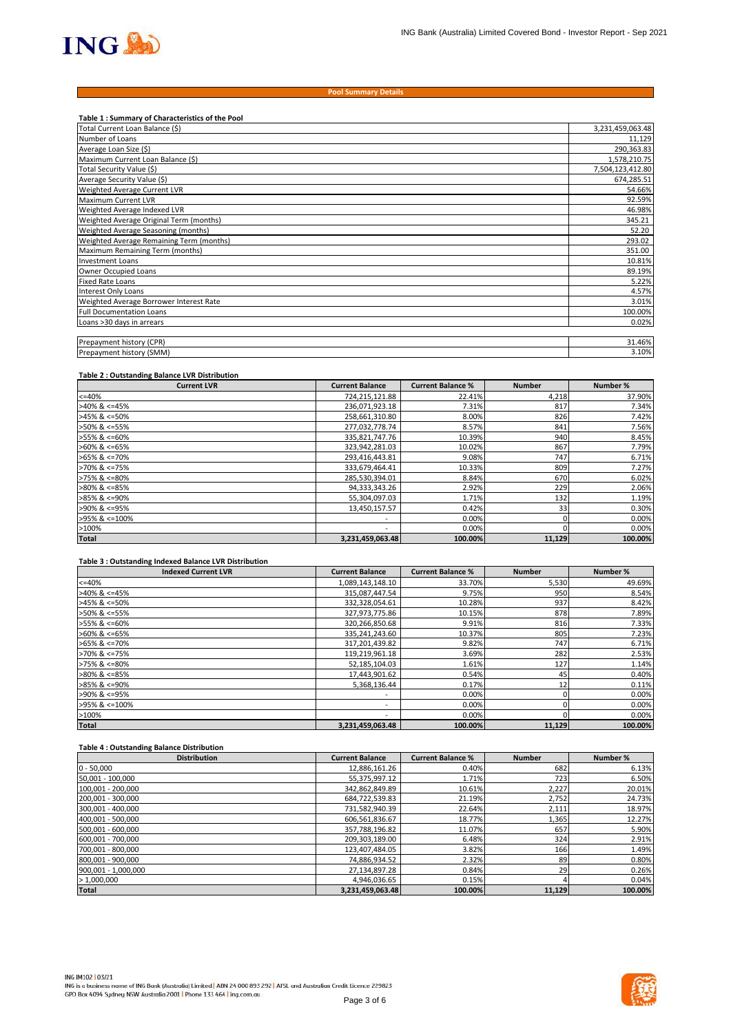

#### **Pool Summary Details**

| Table 1: Summary of Characteristics of the Pool |                  |
|-------------------------------------------------|------------------|
| Total Current Loan Balance (\$)                 | 3,231,459,063.48 |
| Number of Loans                                 | 11,129           |
| Average Loan Size (\$)                          | 290,363.83       |
| Maximum Current Loan Balance (\$)               | 1,578,210.75     |
| Total Security Value (\$)                       | 7,504,123,412.80 |
| Average Security Value (\$)                     | 674,285.51       |
| Weighted Average Current LVR                    | 54.66%           |
| <b>Maximum Current LVR</b>                      | 92.59%           |
| Weighted Average Indexed LVR                    | 46.98%           |
| Weighted Average Original Term (months)         | 345.21           |
| Weighted Average Seasoning (months)             | 52.20            |
| Weighted Average Remaining Term (months)        | 293.02           |
| Maximum Remaining Term (months)                 | 351.00           |
| <b>Investment Loans</b>                         | 10.81%           |
| Owner Occupied Loans                            | 89.19%           |
| <b>Fixed Rate Loans</b>                         | 5.22%            |
| Interest Only Loans                             | 4.57%            |
| Weighted Average Borrower Interest Rate         | 3.01%            |
| <b>Full Documentation Loans</b>                 | 100.00%          |
| Loans >30 days in arrears                       | 0.02%            |
|                                                 |                  |
| Prepayment history (CPR)                        | 31.46%           |
| Prepayment history (SMM)                        | 3.10%            |

### **Table 2 : Outstanding Balance LVR Distribution**

| <b>Current LVR</b>    | <b>Current Balance</b>   | <b>Current Balance %</b> | <b>Number</b> | Number % |
|-----------------------|--------------------------|--------------------------|---------------|----------|
| $<=40%$               | 724,215,121.88           | 22.41%                   | 4,218         | 37.90%   |
| $>40\%$ & <=45%       | 236,071,923.18           | 7.31%                    | 817           | 7.34%    |
| $>45\%$ & <=50%       | 258,661,310.80           | 8.00%                    | 826           | 7.42%    |
| $>50\%$ & <=55%       | 277,032,778.74           | 8.57%                    | 841           | 7.56%    |
| >55% & <=60%          | 335,821,747.76           | 10.39%                   | 940           | 8.45%    |
| $>60\%$ & <=65%       | 323,942,281.03           | 10.02%                   | 867           | 7.79%    |
| $>65\%$ & <=70%       | 293,416,443.81           | 9.08%                    | 747           | 6.71%    |
| $>70\%$ & $\leq 75\%$ | 333,679,464.41           | 10.33%                   | 809           | 7.27%    |
| $>75\%$ & $\leq 80\%$ | 285,530,394.01           | 8.84%                    | 670           | 6.02%    |
| $>80\%$ & <=85%       | 94,333,343.26            | 2.92%                    | 229           | 2.06%    |
| $>85\%$ & <=90%       | 55,304,097.03            | 1.71%                    | 132           | 1.19%    |
| >90% & <=95%          | 13,450,157.57            | 0.42%                    | 33            | 0.30%    |
| >95% & <=100%         | $\overline{\phantom{a}}$ | 0.00%                    |               | 0.00%    |
| >100%                 | $\overline{\phantom{a}}$ | 0.00%                    |               | 0.00%    |
| <b>Total</b>          | 3,231,459,063.48         | 100.00%                  | 11,129        | 100.00%  |

#### **Table 3 : Outstanding Indexed Balance LVR Distribution**

| <b>Indexed Current LVR</b> | <b>Current Balance</b>   | <b>Current Balance %</b> | <b>Number</b> | Number % |
|----------------------------|--------------------------|--------------------------|---------------|----------|
| $<=40%$                    | 1,089,143,148.10         | 33.70%                   | 5,530         | 49.69%   |
| $>40\%$ & <=45%            | 315,087,447.54           | 9.75%                    | 950           | 8.54%    |
| $>45\%$ & <=50%            | 332,328,054.61           | 10.28%                   | 937           | 8.42%    |
| >50% & <=55%               | 327,973,775.86           | 10.15%                   | 878           | 7.89%    |
| >55% & <=60%               | 320,266,850.68           | 9.91%                    | 816           | 7.33%    |
| $>60\%$ & <=65%            | 335,241,243.60           | 10.37%                   | 805           | 7.23%    |
| $>65\%$ & <=70%            | 317,201,439.82           | 9.82%                    | 747           | 6.71%    |
| >70% & <=75%               | 119,219,961.18           | 3.69%                    | 282           | 2.53%    |
| $>75\%$ & $\leq 80\%$      | 52,185,104.03            | 1.61%                    | 127           | 1.14%    |
| $>80\%$ & <=85%            | 17,443,901.62            | 0.54%                    | 45            | 0.40%    |
| $>85\%$ & <=90%            | 5,368,136.44             | 0.17%                    | 12            | 0.11%    |
| >90% & <=95%               | $\overline{\phantom{a}}$ | 0.00%                    |               | 0.00%    |
| >95% & <=100%              | $\overline{\phantom{a}}$ | 0.00%                    |               | 0.00%    |
| >100%                      | $\overline{\phantom{a}}$ | 0.00%                    |               | 0.00%    |
| <b>Total</b>               | 3,231,459,063.48         | 100.00%                  | 11,129        | 100.00%  |

## **Table 4 : Outstanding Balance Distribution**

| <b>Distribution</b> | <b>Current Balance</b> | <b>Current Balance %</b> | <b>Number</b> | Number % |
|---------------------|------------------------|--------------------------|---------------|----------|
| $0 - 50,000$        | 12,886,161.26          | 0.40%                    | 682           | 6.13%    |
| 50,001 - 100,000    | 55,375,997.12          | 1.71%                    | 723 l         | 6.50%    |
| 100,001 - 200,000   | 342,862,849.89         | 10.61%                   | 2,227         | 20.01%   |
| 200,001 - 300,000   | 684,722,539.83         | 21.19%                   | 2,752         | 24.73%   |
| 300,001 - 400,000   | 731,582,940.39         | 22.64%                   | 2,111         | 18.97%   |
| 400,001 - 500,000   | 606,561,836.67         | 18.77%                   | 1,365         | 12.27%   |
| 500,001 - 600,000   | 357,788,196.82         | 11.07%                   | 657           | 5.90%    |
| 600,001 - 700,000   | 209,303,189.00         | 6.48%                    | 324           | 2.91%    |
| 700,001 - 800,000   | 123,407,484.05         | 3.82%                    | 166           | 1.49%    |
| 800,001 - 900,000   | 74,886,934.52          | 2.32%                    | 89            | 0.80%    |
| 900,001 - 1,000,000 | 27,134,897.28          | 0.84%                    | 29            | 0.26%    |
| >1,000,000          | 4,946,036.65           | 0.15%                    |               | 0.04%    |
| <b>Total</b>        | 3,231,459,063.48       | 100.00%                  | 11,129        | 100.00%  |

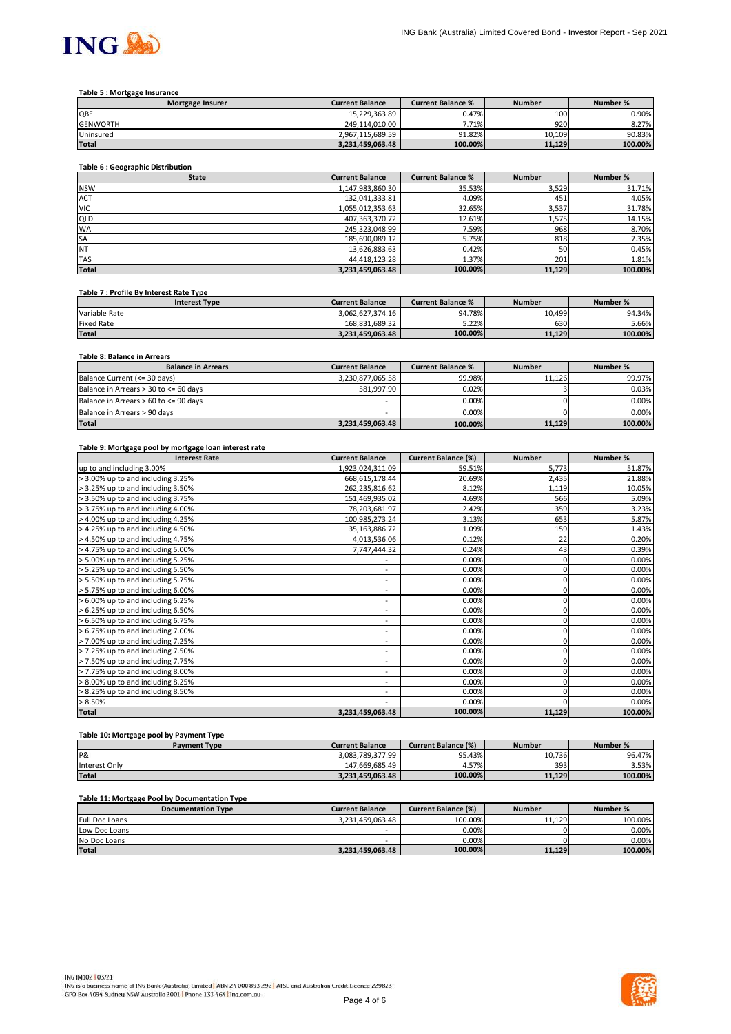

#### **Table 5 : Mortgage Insurance**

| <b>Mortgage Insurer</b> | <b>Current Balance</b> | <b>Current Balance %</b> | <b>Number</b> | Number % |
|-------------------------|------------------------|--------------------------|---------------|----------|
| QBE                     | 15.229.363.89          | 0.47%                    | 100           | 0.90%    |
| <b>GENWORTH</b>         | 249.114.010.00         | 7.71%                    | 920           | 8.27%    |
| Uninsured               | 2.967.115.689.59       | 91.82%                   | 10.109        | 90.83%   |
| <b>Total</b>            | 3.231.459.063.48       | 100.00%                  | 11.129        | 100.00%  |

# **Table 6 : Geographic Distribution**

| <b>State</b> | <b>Current Balance</b> | <b>Current Balance %</b> | <b>Number</b> | Number % |
|--------------|------------------------|--------------------------|---------------|----------|
| <b>NSW</b>   | 1,147,983,860.30       | 35.53%                   | 3,529         | 31.71%   |
| <b>ACT</b>   | 132,041,333.81         | 4.09%                    | 451           | 4.05%    |
| <b>VIC</b>   | 1,055,012,353.63       | 32.65%                   | 3,537         | 31.78%   |
| QLD          | 407,363,370.72         | 12.61%                   | 1,575         | 14.15%   |
| <b>WA</b>    | 245,323,048.99         | 7.59%                    | 968           | 8.70%    |
| <b>SA</b>    | 185,690,089.12         | 5.75%                    | 818           | 7.35%    |
| NT           | 13,626,883.63          | 0.42%                    | 50            | 0.45%    |
| <b>TAS</b>   | 44,418,123.28          | 1.37%                    | 201           | 1.81%    |
| <b>Total</b> | 3,231,459,063.48       | 100.00%                  | 11,129        | 100.00%  |

#### **Table 7 : Profile By Interest Rate Type**

| <b>Interest Type</b> | <b>Current Balance</b> | <b>Current Balance %</b> | <b>Number</b> | Number % |
|----------------------|------------------------|--------------------------|---------------|----------|
| Variable Rate        | 3.062.627.374.16       | 94.78%                   | 10.499        | 94.34%   |
| Fixed Rate           | 168.831.689.32         | 5.22%                    | 630           | 5.66%    |
| <b>Total</b>         | 3.231.459.063.48       | 100.00%                  | 11.129        | 100.00%  |

## **Table 8: Balance in Arrears**

| <b>Balance in Arrears</b>             | <b>Current Balance</b> | <b>Current Balance %</b> | <b>Number</b> | Number % |
|---------------------------------------|------------------------|--------------------------|---------------|----------|
| Balance Current (<= 30 days)          | 3.230.877.065.58       | 99.98%                   | 11.126        | 99.97%   |
| Balance in Arrears > 30 to <= 60 days | 581.997.90             | 0.02%                    |               | 0.03%    |
| Balance in Arrears > 60 to <= 90 days | -                      | $0.00\%$                 |               | 0.00%    |
| Balance in Arrears > 90 days          | -                      | 0.00%                    |               | 0.00%    |
| <b>Total</b>                          | 3,231,459,063.48       | 100.00%                  | 11,129        | 100.00%  |

#### **Table 9: Mortgage pool by mortgage loan interest rate**

| <b>Interest Rate</b>              | <b>Current Balance</b>       | <b>Current Balance (%)</b> | <b>Number</b> | Number % |
|-----------------------------------|------------------------------|----------------------------|---------------|----------|
| up to and including 3.00%         | 1,923,024,311.09             | 59.51%                     | 5,773         | 51.87%   |
| > 3.00% up to and including 3.25% | 668,615,178.44               | 20.69%                     | 2,435         | 21.88%   |
| > 3.25% up to and including 3.50% | 262,235,816.62               | 8.12%                      | 1,119         | 10.05%   |
| > 3.50% up to and including 3.75% | 151,469,935.02               | 4.69%                      | 566           | 5.09%    |
| > 3.75% up to and including 4.00% | 78,203,681.97                | 2.42%                      | 359           | 3.23%    |
| > 4.00% up to and including 4.25% | 100,985,273.24               | 3.13%                      | 653           | 5.87%    |
| > 4.25% up to and including 4.50% | 35,163,886.72                | 1.09%                      | 159           | 1.43%    |
| > 4.50% up to and including 4.75% | 4,013,536.06                 | 0.12%                      | 22            | 0.20%    |
| > 4.75% up to and including 5.00% | 7,747,444.32                 | 0.24%                      | 43            | 0.39%    |
| > 5.00% up to and including 5.25% | ۰                            | 0.00%                      | 0             | 0.00%    |
| > 5.25% up to and including 5.50% | ٠                            | 0.00%                      | 0             | 0.00%    |
| > 5.50% up to and including 5.75% | $\qquad \qquad \blacksquare$ | 0.00%                      | 0             | 0.00%    |
| > 5.75% up to and including 6.00% | ٠                            | 0.00%                      | 0             | 0.00%    |
| > 6.00% up to and including 6.25% | $\sim$                       | 0.00%                      | 0             | 0.00%    |
| > 6.25% up to and including 6.50% | ٠                            | 0.00%                      |               | 0.00%    |
| > 6.50% up to and including 6.75% | $\overline{\phantom{0}}$     | 0.00%                      |               | 0.00%    |
| > 6.75% up to and including 7.00% | $\overline{\phantom{a}}$     | 0.00%                      | 0             | 0.00%    |
| > 7.00% up to and including 7.25% | ٠.                           | 0.00%                      | 0             | 0.00%    |
| > 7.25% up to and including 7.50% | ٠                            | 0.00%                      | 0             | 0.00%    |
| > 7.50% up to and including 7.75% | $\overline{\phantom{0}}$     | 0.00%                      |               | 0.00%    |
| > 7.75% up to and including 8.00% | ٠                            | 0.00%                      | 0             | 0.00%    |
| > 8.00% up to and including 8.25% | ٠                            | 0.00%                      |               | 0.00%    |
| > 8.25% up to and including 8.50% | ٠                            | 0.00%                      |               | 0.00%    |
| > 8.50%                           | ٠                            | 0.00%                      |               | 0.00%    |
| <b>Total</b>                      | 3,231,459,063.48             | 100.00%                    | 11,129        | 100.00%  |

## **Table 10: Mortgage pool by Payment Type**

| <b>Payment Type</b> | <b>Current Balance</b> | <b>Current Balance (%)</b> | <b>Number</b> | Number % |
|---------------------|------------------------|----------------------------|---------------|----------|
| P&I                 | 3.083.789.377.99       | 95.43%                     | 10.736        | 96.47%   |
| Interest Only       | 147.669.685.49         | 4.57%                      | 393           | 3.53%    |
| <b>Total</b>        | 3.231.459.063.48       | 100.00%                    | 11.129        | 100.00%  |

#### **Table 11: Mortgage Pool by Documentation Type**

| . .<br><b>Documentation Type</b> | <b>Current Balance</b> | <b>Current Balance (%)</b> | <b>Number</b> | Number % |
|----------------------------------|------------------------|----------------------------|---------------|----------|
| <b>Full Doc Loans</b>            | 3.231.459.063.48       | 100.00%                    | 11.129        | 100.00%  |
| Low Doc Loans                    | -                      | 0.00%                      |               | $0.00\%$ |
| No Doc Loans                     | -                      | 0.00%                      |               | $0.00\%$ |
| <b>Total</b>                     | 3.231.459.063.48       | 100.00%                    | 11.129        | 100.00%  |

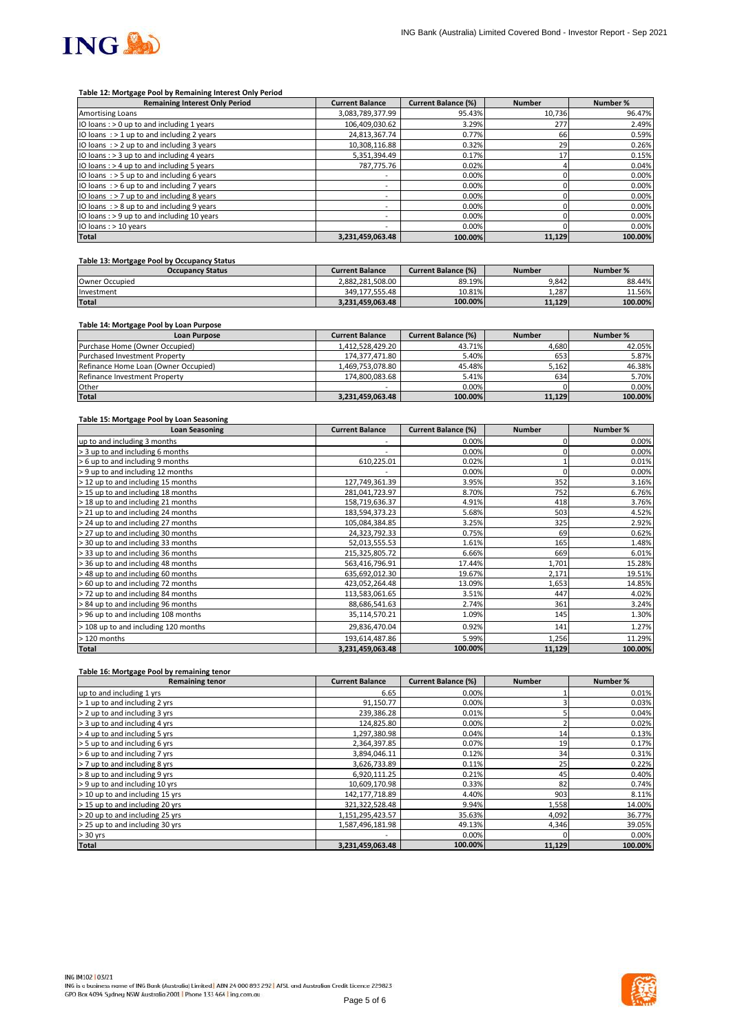

#### **Table 12: Mortgage Pool by Remaining Interest Only Period**

| <b>Remaining Interest Only Period</b>        | <b>Current Balance</b>   | <b>Current Balance (%)</b> | <b>Number</b> | Number % |
|----------------------------------------------|--------------------------|----------------------------|---------------|----------|
| Amortising Loans                             | 3,083,789,377.99         | 95.43%                     | 10.736        | 96.47%   |
| IO loans: > 0 up to and including 1 years    | 106,409,030.62           | 3.29%                      | 277           | 2.49%    |
| IO loans $:$ > 1 up to and including 2 years | 24.813.367.74            | 0.77%                      | 66            | 0.59%    |
| IO loans $:$ > 2 up to and including 3 years | 10,308,116.88            | 0.32%                      | 29            | 0.26%    |
| IO loans : > 3 up to and including 4 years   | 5,351,394.49             | 0.17%                      | 17            | 0.15%    |
| IO loans: > 4 up to and including 5 years    | 787,775.76               | 0.02%                      |               | 0.04%    |
| IO loans $:$ > 5 up to and including 6 years | $\overline{\phantom{a}}$ | 0.00%                      |               | 0.00%    |
| IO loans $:$ > 6 up to and including 7 years | $\overline{\phantom{a}}$ | 0.00%                      |               | 0.00%    |
| IO loans $:$ > 7 up to and including 8 years | -                        | 0.00%                      |               | 0.00%    |
| IO loans $:$ > 8 up to and including 9 years | ۰                        | 0.00%                      |               | 0.00%    |
| IO loans: > 9 up to and including 10 years   | $\overline{\phantom{a}}$ | 0.00%                      |               | 0.00%    |
| IO loans : > 10 years                        |                          | 0.00%                      |               | 0.00%    |
| <b>Total</b>                                 | 3,231,459,063.48         | 100.00%                    | 11,129        | 100.00%  |

## **Table 13: Mortgage Pool by Occupancy Status**

| <b>Occupancy Status</b> | <b>Current Balance</b> | <b>Current Balance (%)</b> | <b>Number</b> | Number % |
|-------------------------|------------------------|----------------------------|---------------|----------|
| Owner Occupied          | 2.882.281.508.00       | 89.19%                     | 9.842         | 88.44%   |
| Investment              | 349.177.555.48         | 10.81%                     | 1.287         | 11.56%   |
| <b>Total</b>            | 3.231.459.063.48       | 100.00%                    | 11.129        | 100.00%  |

## **Table 14: Mortgage Pool by Loan Purpose**

| <b>Loan Purpose</b>                  | <b>Current Balance</b> | <b>Current Balance (%)</b> | <b>Number</b> | Number % |
|--------------------------------------|------------------------|----------------------------|---------------|----------|
| Purchase Home (Owner Occupied)       | 1.412.528.429.20       | 43.71%                     | 4.680         | 42.05%   |
| <b>Purchased Investment Property</b> | 174.377.471.80         | 5.40%                      | 653           | 5.87%    |
| Refinance Home Loan (Owner Occupied) | 1.469.753.078.80       | 45.48%                     | 5,162         | 46.38%   |
| Refinance Investment Property        | 174.800.083.68         | 5.41%                      | 634           | 5.70%    |
| Other                                | -                      | 0.00%                      |               | $0.00\%$ |
| <b>Total</b>                         | 3,231,459,063.48       | 100.00%                    | 11,129        | 100.00%  |

#### **Table 15: Mortgage Pool by Loan Seasoning**

| <b>Loan Seasoning</b>                | <b>Current Balance</b> | <b>Current Balance (%)</b> | <b>Number</b> | Number % |
|--------------------------------------|------------------------|----------------------------|---------------|----------|
| up to and including 3 months         |                        | 0.00%                      |               | 0.00%    |
| > 3 up to and including 6 months     | ٠                      | 0.00%                      |               | 0.00%    |
| > 6 up to and including 9 months     | 610,225.01             | 0.02%                      |               | 0.01%    |
| > 9 up to and including 12 months    |                        | 0.00%                      |               | 0.00%    |
| > 12 up to and including 15 months   | 127,749,361.39         | 3.95%                      | 352           | 3.16%    |
| > 15 up to and including 18 months   | 281,041,723.97         | 8.70%                      | 752           | 6.76%    |
| > 18 up to and including 21 months   | 158,719,636.37         | 4.91%                      | 418           | 3.76%    |
| > 21 up to and including 24 months   | 183,594,373.23         | 5.68%                      | 503           | 4.52%    |
| > 24 up to and including 27 months   | 105,084,384.85         | 3.25%                      | 325           | 2.92%    |
| > 27 up to and including 30 months   | 24,323,792.33          | 0.75%                      | 69            | 0.62%    |
| > 30 up to and including 33 months   | 52,013,555.53          | 1.61%                      | 165           | 1.48%    |
| > 33 up to and including 36 months   | 215,325,805.72         | 6.66%                      | 669           | 6.01%    |
| > 36 up to and including 48 months   | 563,416,796.91         | 17.44%                     | 1,701         | 15.28%   |
| > 48 up to and including 60 months   | 635,692,012.30         | 19.67%                     | 2,171         | 19.51%   |
| > 60 up to and including 72 months   | 423,052,264.48         | 13.09%                     | 1,653         | 14.85%   |
| > 72 up to and including 84 months   | 113,583,061.65         | 3.51%                      | 447           | 4.02%    |
| > 84 up to and including 96 months   | 88,686,541.63          | 2.74%                      | 361           | 3.24%    |
| > 96 up to and including 108 months  | 35,114,570.21          | 1.09%                      | 145           | 1.30%    |
| > 108 up to and including 120 months | 29,836,470.04          | 0.92%                      | 141           | 1.27%    |
| > 120 months                         | 193,614,487.86         | 5.99%                      | 1,256         | 11.29%   |
| <b>Total</b>                         | 3,231,459,063.48       | 100.00%                    | 11,129        | 100.00%  |

#### **Table 16: Mortgage Pool by remaining tenor**

| <b>Remaining tenor</b>          | <b>Current Balance</b> | <b>Current Balance (%)</b> | <b>Number</b> | Number % |
|---------------------------------|------------------------|----------------------------|---------------|----------|
| up to and including 1 yrs       | 6.65                   | 0.00%                      |               | 0.01%    |
| > 1 up to and including 2 yrs   | 91,150.77              | 0.00%                      |               | 0.03%    |
| > 2 up to and including 3 yrs   | 239,386.28             | 0.01%                      |               | 0.04%    |
| > 3 up to and including 4 yrs   | 124,825.80             | 0.00%                      |               | 0.02%    |
| > 4 up to and including 5 yrs   | 1,297,380.98           | 0.04%                      | 14            | 0.13%    |
| > 5 up to and including 6 yrs   | 2,364,397.85           | 0.07%                      | 19            | 0.17%    |
| > 6 up to and including 7 yrs   | 3,894,046.11           | 0.12%                      | 34            | 0.31%    |
| > 7 up to and including 8 yrs   | 3,626,733.89           | 0.11%                      | 25            | 0.22%    |
| > 8 up to and including 9 yrs   | 6,920,111.25           | 0.21%                      | 45            | 0.40%    |
| > 9 up to and including 10 yrs  | 10,609,170.98          | 0.33%                      | 82            | 0.74%    |
| > 10 up to and including 15 yrs | 142, 177, 718.89       | 4.40%                      | 903           | 8.11%    |
| > 15 up to and including 20 yrs | 321,322,528.48         | 9.94%                      | 1,558         | 14.00%   |
| > 20 up to and including 25 yrs | 1,151,295,423.57       | 35.63%                     | 4,092         | 36.77%   |
| > 25 up to and including 30 yrs | 1,587,496,181.98       | 49.13%                     | 4,346         | 39.05%   |
| $> 30$ yrs                      |                        | 0.00%                      |               | 0.00%    |
| <b>Total</b>                    | 3,231,459,063.48       | 100.00%                    | 11,129        | 100.00%  |